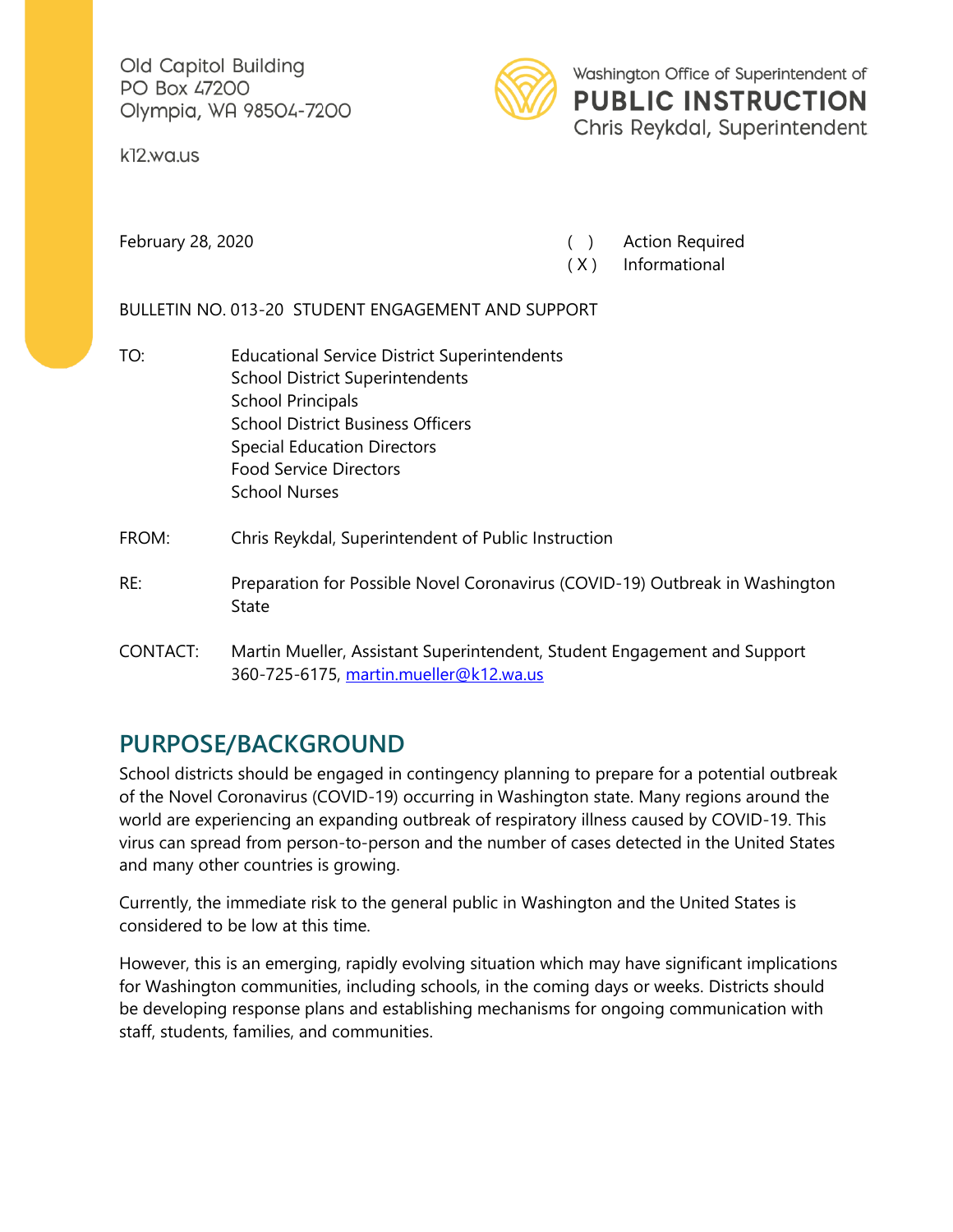Old Capitol Building PO Box 47200 Olympia, WA 98504-7200

k12.wa.us



Washington Office of Superintendent of **PUBLIC INSTRUCTION** Chris Reykdal, Superintendent

February 28, 2020 **February 28, 2020** ( ) Action Required

( X ) Informational

BULLETIN NO. 013-20 STUDENT ENGAGEMENT AND SUPPORT

TO: Educational Service District Superintendents School District Superintendents School Principals School District Business Officers Special Education Directors Food Service Directors School Nurses

#### FROM: Chris Reykdal, Superintendent of Public Instruction

- RE: Preparation for Possible Novel Coronavirus (COVID-19) Outbreak in Washington State
- CONTACT: Martin Mueller, Assistant Superintendent, Student Engagement and Support 360-725-6175, [martin.mueller@k12.wa.us](mailto:martin.mueller@k12.wa.us)

# **PURPOSE/BACKGROUND**

School districts should be engaged in contingency planning to prepare for a potential outbreak of the Novel Coronavirus (COVID-19) occurring in Washington state. Many regions around the world are experiencing an expanding outbreak of respiratory illness caused by COVID-19. This virus can spread from person-to-person and the number of cases detected in the United States and many other countries is growing.

Currently, the immediate risk to the general public in Washington and the United States is considered to be low at this time.

However, this is an emerging, rapidly evolving situation which may have significant implications for Washington communities, including schools, in the coming days or weeks. Districts should be developing response plans and establishing mechanisms for ongoing communication with staff, students, families, and communities.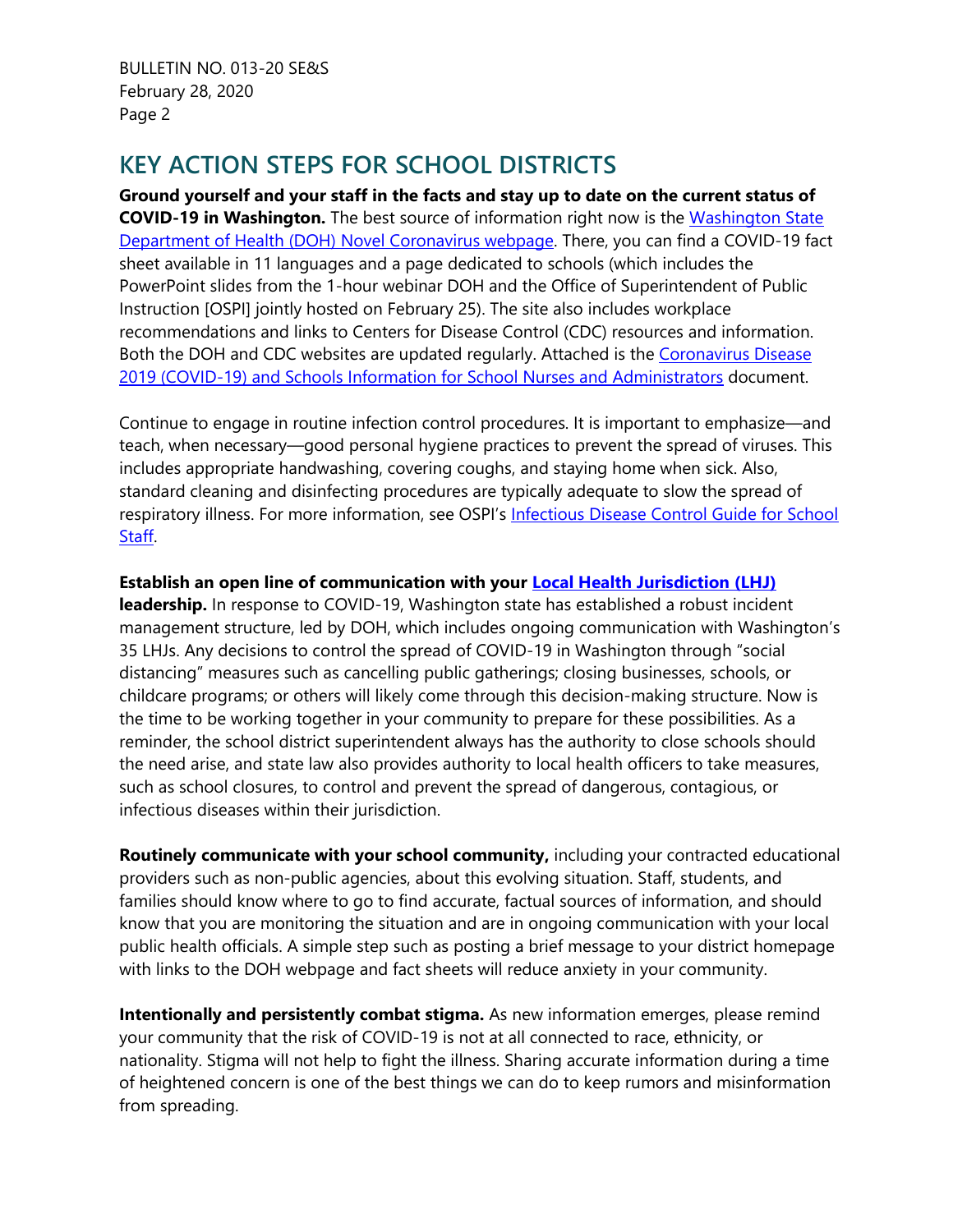# **KEY ACTION STEPS FOR SCHOOL DISTRICTS**

**Ground yourself and your staff in the facts and stay up to date on the current status of COVID-19 in Washington.** The best source of information right now is the [Washington State](https://www.doh.wa.gov/Emergencies/Coronavirus)  [Department of Health \(DOH\) Novel Coronavirus webpage.](https://www.doh.wa.gov/Emergencies/Coronavirus) There, you can find a COVID-19 fact sheet available in 11 languages and a page dedicated to schools (which includes the PowerPoint slides from the 1-hour webinar DOH and the Office of Superintendent of Public Instruction [OSPI] jointly hosted on February 25). The site also includes workplace recommendations and links to Centers for Disease Control (CDC) resources and information. Both the DOH and CDC websites are updated regularly. Attached is the Coronavirus Disease [2019 \(COVID-19\) and Schools Information for School Nurses and Administrators](https://www.doh.wa.gov/Portals/1/Documents/1600/DOHCoronavirusInfoSchools.pdf) document.

Continue to engage in routine infection control procedures. It is important to emphasize—and teach, when necessary—good personal hygiene practices to prevent the spread of viruses. This includes appropriate handwashing, covering coughs, and staying home when sick. Also, standard cleaning and disinfecting procedures are typically adequate to slow the spread of respiratory illness. For more information, see OSPI's [Infectious Disease Control Guide for School](https://www.k12.wa.us/sites/default/files/public/healthservices/pubdocs/infectiousdiseasecontrolguide.pdf)  [Staff.](https://www.k12.wa.us/sites/default/files/public/healthservices/pubdocs/infectiousdiseasecontrolguide.pdf)

#### **Establish an open line of communication with your [Local Health Jurisdiction \(LHJ\)](https://www.doh.wa.gov/Portals/1/Documents/1000/SystemsTransformation/LocalHealth/LHJ-DirectorAdministratorHealthOfficerInformation.pdf)**

**leadership.** In response to COVID-19, Washington state has established a robust incident management structure, led by DOH, which includes ongoing communication with Washington's 35 LHJs. Any decisions to control the spread of COVID-19 in Washington through "social distancing" measures such as cancelling public gatherings; closing businesses, schools, or childcare programs; or others will likely come through this decision-making structure. Now is the time to be working together in your community to prepare for these possibilities. As a reminder, the school district superintendent always has the authority to close schools should the need arise, and state law also provides authority to local health officers to take measures, such as school closures, to control and prevent the spread of dangerous, contagious, or infectious diseases within their jurisdiction.

**Routinely communicate with your school community,** including your contracted educational providers such as non-public agencies, about this evolving situation. Staff, students, and families should know where to go to find accurate, factual sources of information, and should know that you are monitoring the situation and are in ongoing communication with your local public health officials. A simple step such as posting a brief message to your district homepage with links to the DOH webpage and fact sheets will reduce anxiety in your community.

**Intentionally and persistently combat stigma.** As new information emerges, please remind your community that the risk of COVID-19 is not at all connected to race, ethnicity, or nationality. Stigma will not help to fight the illness. Sharing accurate information during a time of heightened concern is one of the best things we can do to keep rumors and misinformation from spreading.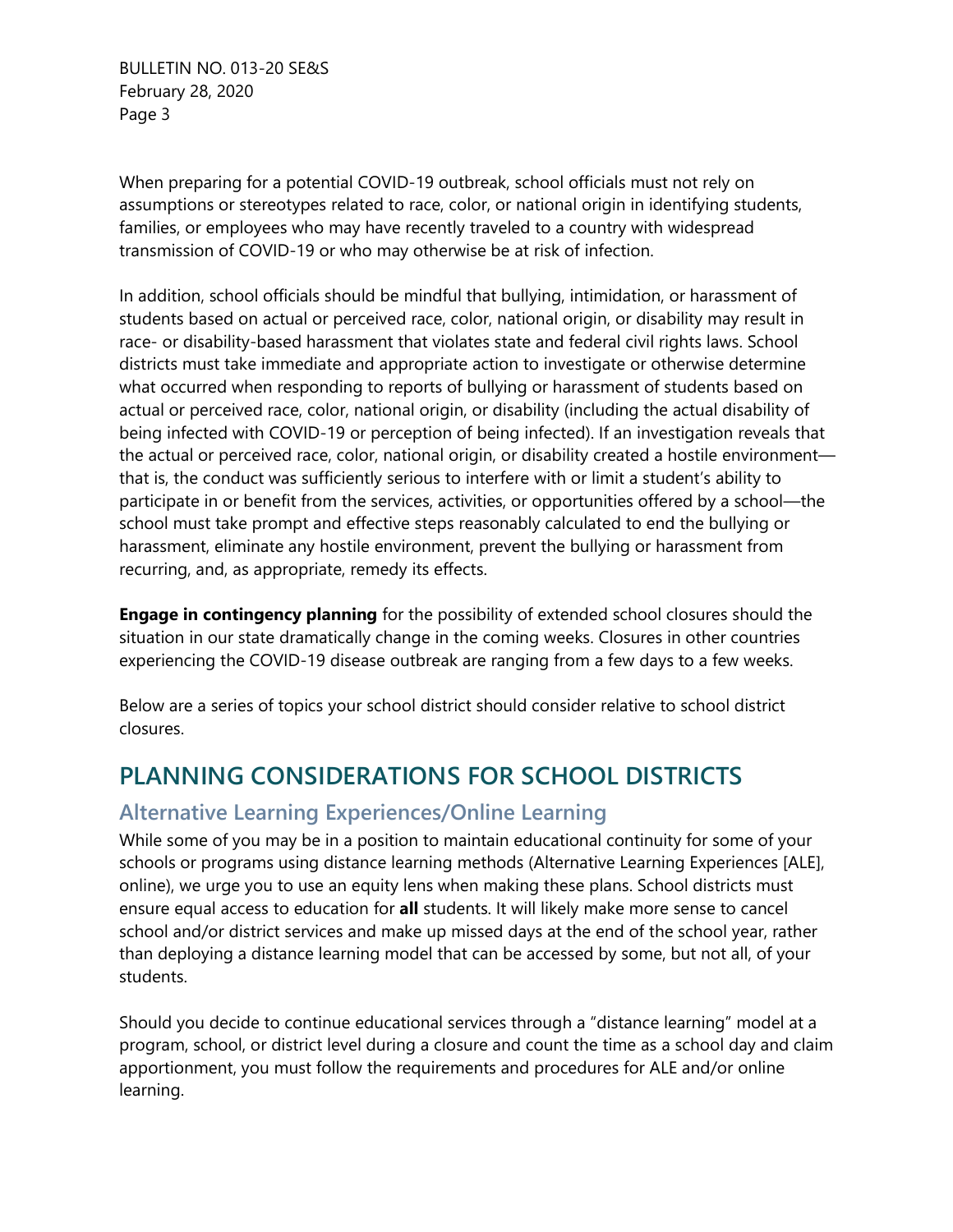When preparing for a potential COVID-19 outbreak, school officials must not rely on assumptions or stereotypes related to race, color, or national origin in identifying students, families, or employees who may have recently traveled to a country with widespread transmission of COVID-19 or who may otherwise be at risk of infection.

In addition, school officials should be mindful that bullying, intimidation, or harassment of students based on actual or perceived race, color, national origin, or disability may result in race- or disability-based harassment that violates state and federal civil rights laws. School districts must take immediate and appropriate action to investigate or otherwise determine what occurred when responding to reports of bullying or harassment of students based on actual or perceived race, color, national origin, or disability (including the actual disability of being infected with COVID-19 or perception of being infected). If an investigation reveals that the actual or perceived race, color, national origin, or disability created a hostile environment that is, the conduct was sufficiently serious to interfere with or limit a student's ability to participate in or benefit from the services, activities, or opportunities offered by a school—the school must take prompt and effective steps reasonably calculated to end the bullying or harassment, eliminate any hostile environment, prevent the bullying or harassment from recurring, and, as appropriate, remedy its effects.

**Engage in contingency planning** for the possibility of extended school closures should the situation in our state dramatically change in the coming weeks. Closures in other countries experiencing the COVID-19 disease outbreak are ranging from a few days to a few weeks.

Below are a series of topics your school district should consider relative to school district closures.

# **PLANNING CONSIDERATIONS FOR SCHOOL DISTRICTS**

### **Alternative Learning Experiences/Online Learning**

While some of you may be in a position to maintain educational continuity for some of your schools or programs using distance learning methods (Alternative Learning Experiences [ALE], online), we urge you to use an equity lens when making these plans. School districts must ensure equal access to education for **all** students. It will likely make more sense to cancel school and/or district services and make up missed days at the end of the school year, rather than deploying a distance learning model that can be accessed by some, but not all, of your students.

Should you decide to continue educational services through a "distance learning" model at a program, school, or district level during a closure and count the time as a school day and claim apportionment, you must follow the requirements and procedures for ALE and/or online learning.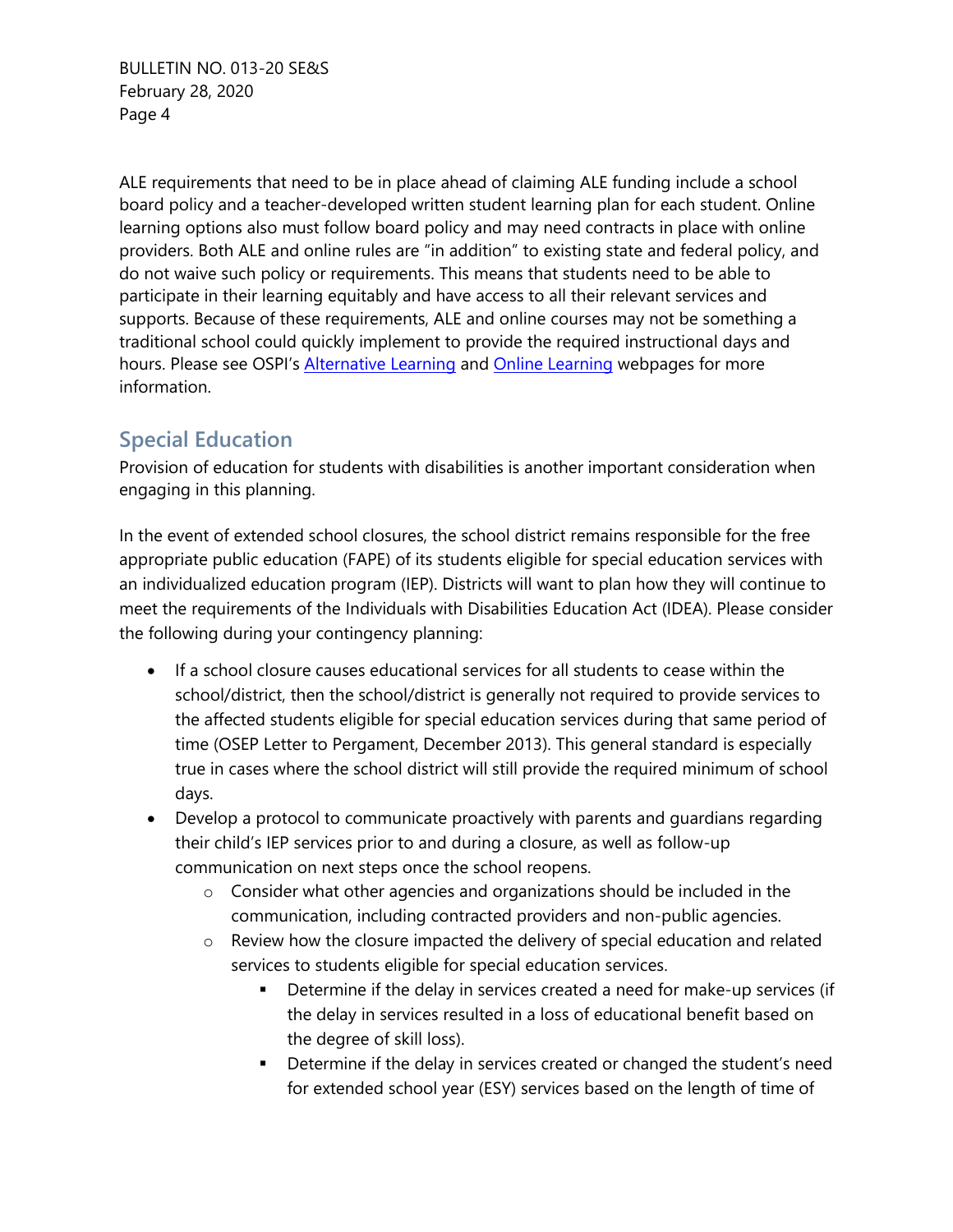ALE requirements that need to be in place ahead of claiming ALE funding include a school board policy and a teacher-developed written student learning plan for each student. Online learning options also must follow board policy and may need contracts in place with online providers. Both ALE and online rules are "in addition" to existing state and federal policy, and do not waive such policy or requirements. This means that students need to be able to participate in their learning equitably and have access to all their relevant services and supports. Because of these requirements, ALE and online courses may not be something a traditional school could quickly implement to provide the required instructional days and hours. Please see OSPI's **[Alternative Learning](https://www.k12.wa.us/student-success/learning-alternatives/alternative-learning-experience) and [Online Learning](https://www.k12.wa.us/student-success/learning-alternatives/online-learning)** webpages for more information.

### **Special Education**

Provision of education for students with disabilities is another important consideration when engaging in this planning.

In the event of extended school closures, the school district remains responsible for the free appropriate public education (FAPE) of its students eligible for special education services with an individualized education program (IEP). Districts will want to plan how they will continue to meet the requirements of the Individuals with Disabilities Education Act (IDEA). Please consider the following during your contingency planning:

- If a school closure causes educational services for all students to cease within the school/district, then the school/district is generally not required to provide services to the affected students eligible for special education services during that same period of time (OSEP Letter to Pergament, December 2013). This general standard is especially true in cases where the school district will still provide the required minimum of school days.
- Develop a protocol to communicate proactively with parents and guardians regarding their child's IEP services prior to and during a closure, as well as follow-up communication on next steps once the school reopens.
	- $\circ$  Consider what other agencies and organizations should be included in the communication, including contracted providers and non-public agencies.
	- o Review how the closure impacted the delivery of special education and related services to students eligible for special education services.
		- **•** Determine if the delay in services created a need for make-up services (if the delay in services resulted in a loss of educational benefit based on the degree of skill loss).
		- Determine if the delay in services created or changed the student's need for extended school year (ESY) services based on the length of time of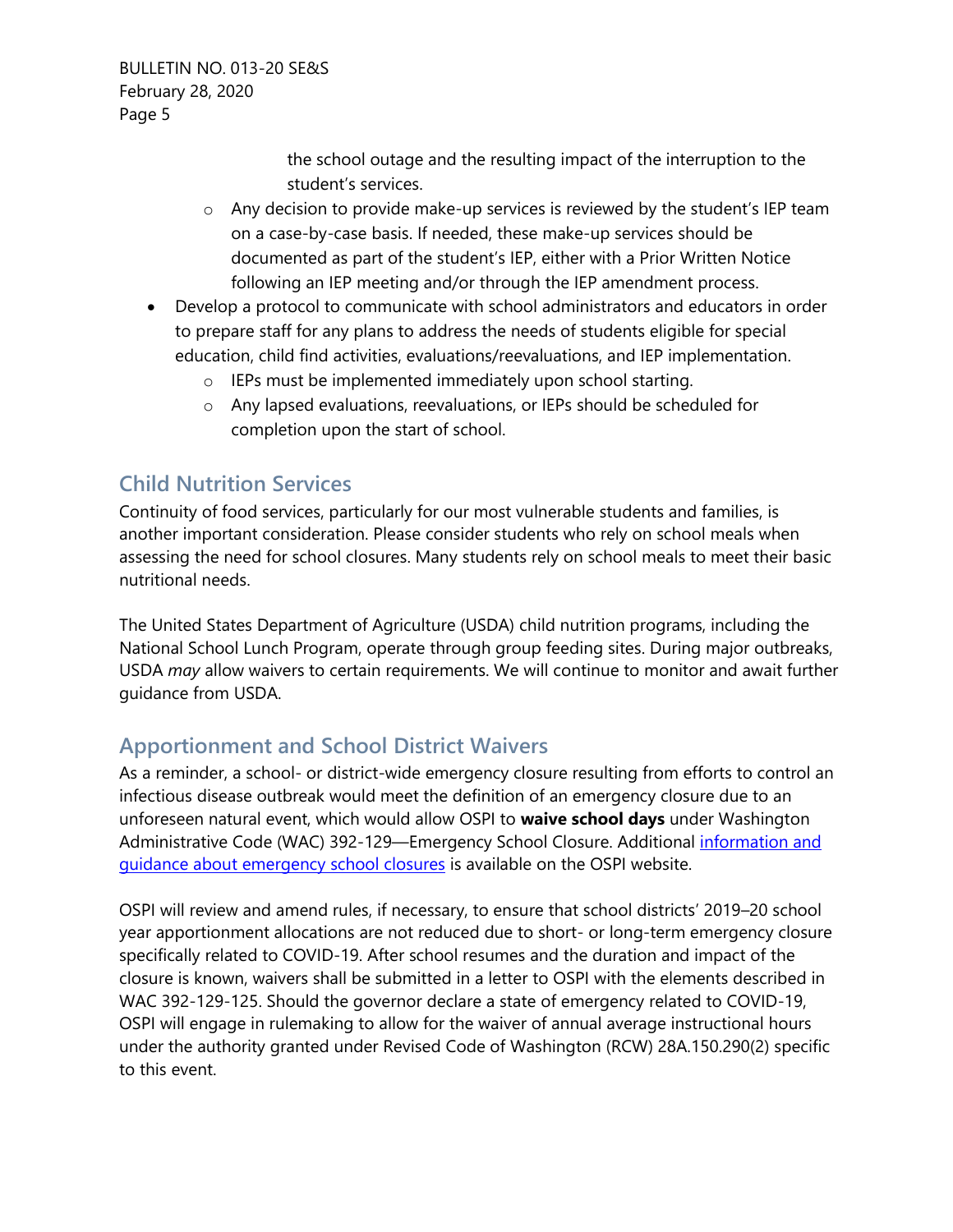> the school outage and the resulting impact of the interruption to the student's services.

- $\circ$  Any decision to provide make-up services is reviewed by the student's IEP team on a case-by-case basis. If needed, these make-up services should be documented as part of the student's IEP, either with a Prior Written Notice following an IEP meeting and/or through the IEP amendment process.
- Develop a protocol to communicate with school administrators and educators in order to prepare staff for any plans to address the needs of students eligible for special education, child find activities, evaluations/reevaluations, and IEP implementation.
	- o IEPs must be implemented immediately upon school starting.
	- o Any lapsed evaluations, reevaluations, or IEPs should be scheduled for completion upon the start of school.

### **Child Nutrition Services**

Continuity of food services, particularly for our most vulnerable students and families, is another important consideration. Please consider students who rely on school meals when assessing the need for school closures. Many students rely on school meals to meet their basic nutritional needs.

The United States Department of Agriculture (USDA) child nutrition programs, including the National School Lunch Program, operate through group feeding sites. During major outbreaks, USDA *may* allow waivers to certain requirements. We will continue to monitor and await further guidance from USDA.

### **Apportionment and School District Waivers**

As a reminder, a school- or district-wide emergency closure resulting from efforts to control an infectious disease outbreak would meet the definition of an emergency closure due to an unforeseen natural event, which would allow OSPI to **waive school days** under Washington Administrative Code (WAC) 392-129—Emergency School Closure. Additional [information and](https://www.k12.wa.us/sites/default/files/public/safs/pubdocs/Emergency%20School%20Closures%20Laws%20Guidance.pdf)  [guidance about emergency school closures](https://www.k12.wa.us/sites/default/files/public/safs/pubdocs/Emergency%20School%20Closures%20Laws%20Guidance.pdf) is available on the OSPI website.

OSPI will review and amend rules, if necessary, to ensure that school districts' 2019–20 school year apportionment allocations are not reduced due to short- or long-term emergency closure specifically related to COVID-19. After school resumes and the duration and impact of the closure is known, waivers shall be submitted in a letter to OSPI with the elements described in WAC 392-129-125. Should the governor declare a state of emergency related to COVID-19, OSPI will engage in rulemaking to allow for the waiver of annual average instructional hours under the authority granted under Revised Code of Washington (RCW) 28A.150.290(2) specific to this event.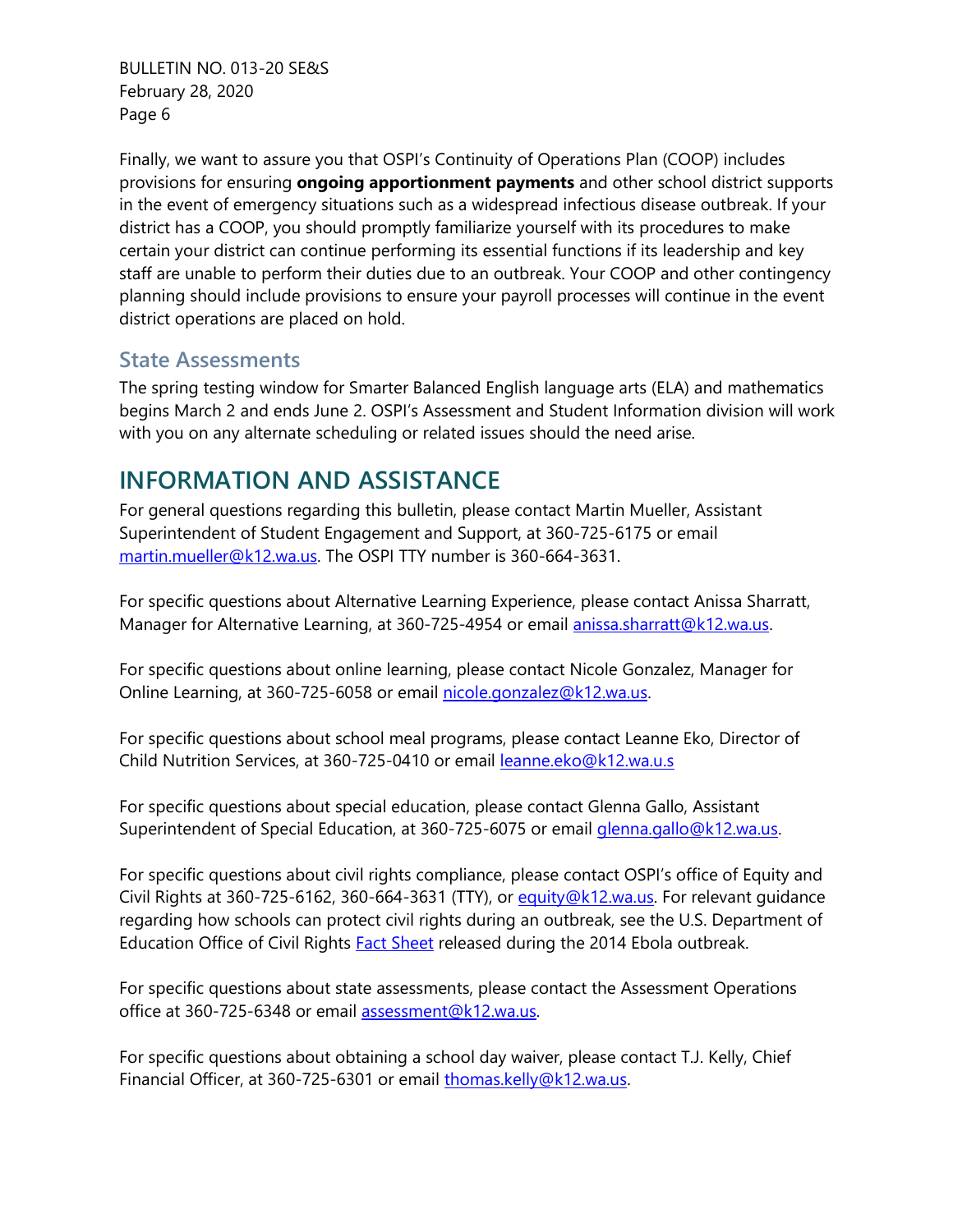Finally, we want to assure you that OSPI's Continuity of Operations Plan (COOP) includes provisions for ensuring **ongoing apportionment payments** and other school district supports in the event of emergency situations such as a widespread infectious disease outbreak. If your district has a COOP, you should promptly familiarize yourself with its procedures to make certain your district can continue performing its essential functions if its leadership and key staff are unable to perform their duties due to an outbreak. Your COOP and other contingency planning should include provisions to ensure your payroll processes will continue in the event district operations are placed on hold.

#### **State Assessments**

The spring testing window for Smarter Balanced English language arts (ELA) and mathematics begins March 2 and ends June 2. OSPI's Assessment and Student Information division will work with you on any alternate scheduling or related issues should the need arise.

### **INFORMATION AND ASSISTANCE**

For general questions regarding this bulletin, please contact Martin Mueller, Assistant Superintendent of Student Engagement and Support, at 360-725-6175 or email martin.mueller@k12.wa.us</u>. The OSPI TTY number is 360-664-3631.

For specific questions about Alternative Learning Experience, please contact Anissa Sharratt, Manager for Alternative Learning, at 360-725-4954 or email [anissa.sharratt@k12.wa.us.](mailto:anissa.sharratt@k12.wa.us)

For specific questions about online learning, please contact Nicole Gonzalez, Manager for Online Learning, at 360-725-6058 or email [nicole.gonzalez@k12.wa.us.](mailto:nicole.gonzalez@k12.wa.us)

For specific questions about school meal programs, please contact Leanne Eko, Director of Child Nutrition Services, at 360-725-0410 or email [leanne.eko@k12.wa.u.s](mailto:leanne.eko@k12.wa.u.s)

For specific questions about special education, please contact Glenna Gallo, Assistant Superintendent of Special Education, at 360-725-6075 or email [glenna.gallo@k12.wa.us.](mailto:glenna.gallo@k12.wa.us)

For specific questions about civil rights compliance, please contact OSPI's office of Equity and Civil Rights at 360-725-6162, 360-664-3631 (TTY), or [equity@k12.wa.us.](mailto:equity@k12.wa.us) For relevant quidance regarding how schools can protect civil rights during an outbreak, see the U.S. Department of Education Office of Civil Rights **Fact Sheet** released during the 2014 Ebola outbreak.

For specific questions about state assessments, please contact the Assessment Operations office at 360-725-6348 or email [assessment@k12.wa.us.](mailto:assessment@k12.wa.us)

For specific questions about obtaining a school day waiver, please contact T.J. Kelly, Chief Financial Officer, at 360-725-6301 or email [thomas.kelly@k12.wa.us.](mailto:thomas.kelly@k12.wa.us)